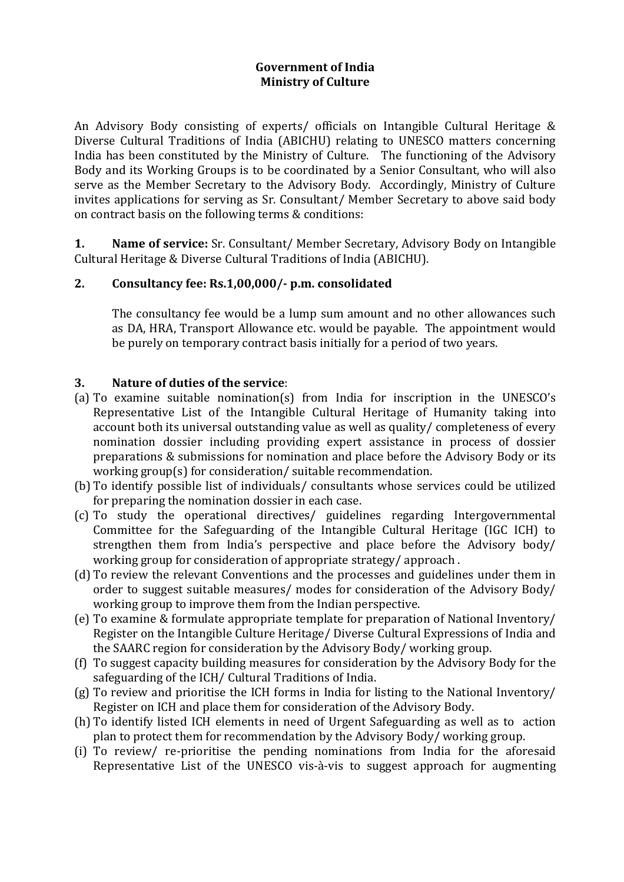## **Government of India Ministry of Culture**

An Advisory Body consisting of experts/ officials on Intangible Cultural Heritage & Diverse Cultural Traditions of India (ABICHU) relating to UNESCO matters concerning India has been constituted by the Ministry of Culture. The functioning of the Advisory Body and its Working Groups is to be coordinated by a Senior Consultant, who will also serve as the Member Secretary to the Advisory Body. Accordingly, Ministry of Culture invites applications for serving as Sr. Consultant/ Member Secretary to above said body on contract basis on the following terms & conditions:

**1. Name of service:** Sr. Consultant/ Member Secretary, Advisory Body on Intangible Cultural Heritage & Diverse Cultural Traditions of India (ABICHU).

## **2. Consultancy fee: Rs.1,00,000/- p.m. consolidated**

The consultancy fee would be a lump sum amount and no other allowances such as DA, HRA, Transport Allowance etc. would be payable. The appointment would be purely on temporary contract basis initially for a period of two years.

#### **3. Nature of duties of the service**:

- (a) To examine suitable nomination(s) from India for inscription in the UNESCO's Representative List of the Intangible Cultural Heritage of Humanity taking into account both its universal outstanding value as well as quality/ completeness of every nomination dossier including providing expert assistance in process of dossier preparations & submissions for nomination and place before the Advisory Body or its working group(s) for consideration/ suitable recommendation.
- (b) To identify possible list of individuals/ consultants whose services could be utilized for preparing the nomination dossier in each case.
- (c) To study the operational directives/ guidelines regarding Intergovernmental Committee for the Safeguarding of the Intangible Cultural Heritage (IGC ICH) to strengthen them from India's perspective and place before the Advisory body/ working group for consideration of appropriate strategy/ approach .
- (d) To review the relevant Conventions and the processes and guidelines under them in order to suggest suitable measures/ modes for consideration of the Advisory Body/ working group to improve them from the Indian perspective.
- (e) To examine & formulate appropriate template for preparation of National Inventory/ Register on the Intangible Culture Heritage/ Diverse Cultural Expressions of India and the SAARC region for consideration by the Advisory Body/ working group.
- (f) To suggest capacity building measures for consideration by the Advisory Body for the safeguarding of the ICH/ Cultural Traditions of India.
- (g) To review and prioritise the ICH forms in India for listing to the National Inventory/ Register on ICH and place them for consideration of the Advisory Body.
- (h) To identify listed ICH elements in need of Urgent Safeguarding as well as to action plan to protect them for recommendation by the Advisory Body/ working group.
- (i) To review/ re-prioritise the pending nominations from India for the aforesaid Representative List of the UNESCO vis-à-vis to suggest approach for augmenting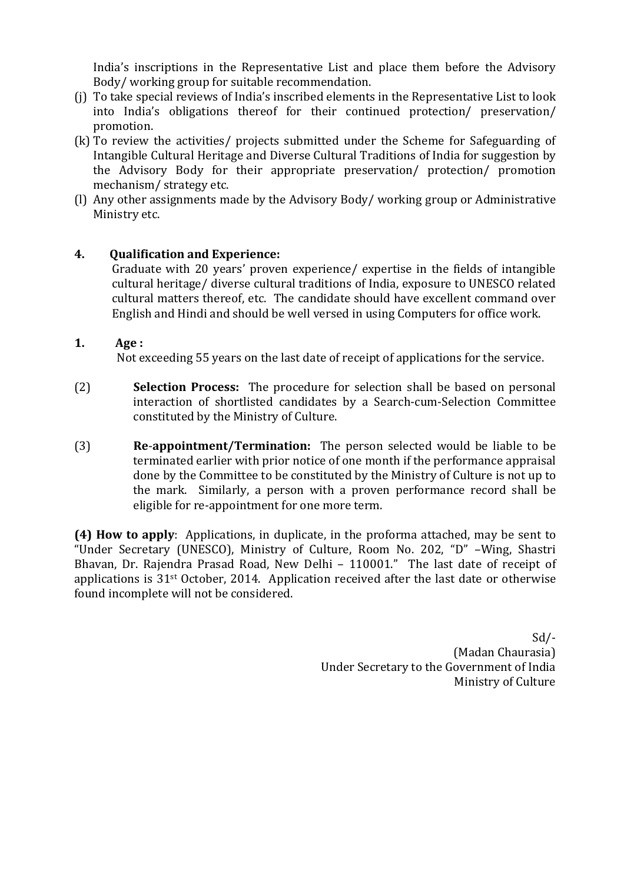India's inscriptions in the Representative List and place them before the Advisory Body/ working group for suitable recommendation.

- (j) To take special reviews of India's inscribed elements in the Representative List to look into India's obligations thereof for their continued protection/ preservation/ promotion.
- (k) To review the activities/ projects submitted under the Scheme for Safeguarding of Intangible Cultural Heritage and Diverse Cultural Traditions of India for suggestion by the Advisory Body for their appropriate preservation/ protection/ promotion mechanism/ strategy etc.
- (l) Any other assignments made by the Advisory Body/ working group or Administrative Ministry etc.

## **4. Qualification and Experience:**

Graduate with 20 years' proven experience/ expertise in the fields of intangible cultural heritage/ diverse cultural traditions of India, exposure to UNESCO related cultural matters thereof, etc. The candidate should have excellent command over English and Hindi and should be well versed in using Computers for office work.

## **1. Age :**

Not exceeding 55 years on the last date of receipt of applications for the service.

- (2) **Selection Process:** The procedure for selection shall be based on personal interaction of shortlisted candidates by a Search-cum-Selection Committee constituted by the Ministry of Culture.
- (3) **Re**-**appointment/Termination:** The person selected would be liable to be terminated earlier with prior notice of one month if the performance appraisal done by the Committee to be constituted by the Ministry of Culture is not up to the mark. Similarly, a person with a proven performance record shall be eligible for re-appointment for one more term.

**(4) How to apply**: Applications, in duplicate, in the proforma attached, may be sent to "Under Secretary (UNESCO), Ministry of Culture, Room No. 202, "D" –Wing, Shastri Bhavan, Dr. Rajendra Prasad Road, New Delhi – 110001." The last date of receipt of applications is 31st October, 2014. Application received after the last date or otherwise found incomplete will not be considered.

> Sd/- (Madan Chaurasia) Under Secretary to the Government of India Ministry of Culture